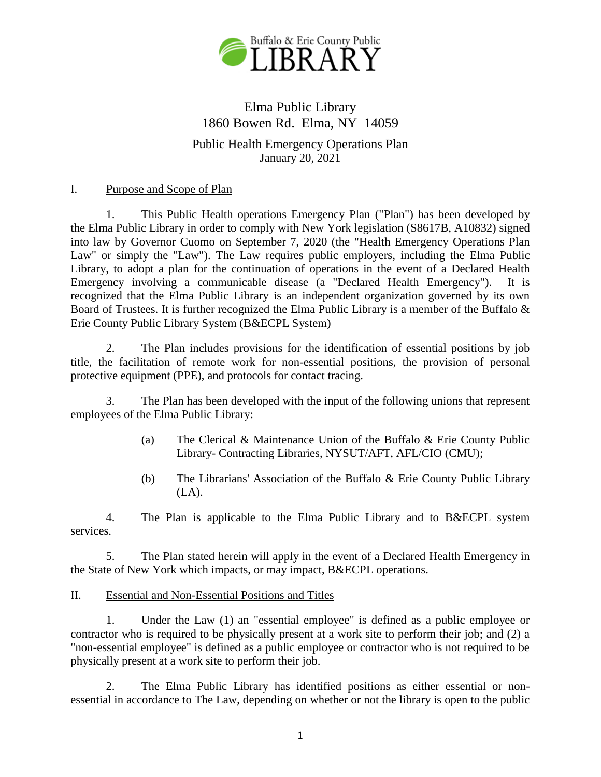

# Elma Public Library 1860 Bowen Rd. Elma, NY 14059

# Public Health Emergency Operations Plan January 20, 2021

# I. Purpose and Scope of Plan

1. This Public Health operations Emergency Plan ("Plan") has been developed by the Elma Public Library in order to comply with New York legislation (S8617B, A10832) signed into law by Governor Cuomo on September 7, 2020 (the "Health Emergency Operations Plan Law" or simply the "Law"). The Law requires public employers, including the Elma Public Library, to adopt a plan for the continuation of operations in the event of a Declared Health Emergency involving a communicable disease (a "Declared Health Emergency"). It is recognized that the Elma Public Library is an independent organization governed by its own Board of Trustees. It is further recognized the Elma Public Library is a member of the Buffalo & Erie County Public Library System (B&ECPL System)

2. The Plan includes provisions for the identification of essential positions by job title, the facilitation of remote work for non-essential positions, the provision of personal protective equipment (PPE), and protocols for contact tracing.

3. The Plan has been developed with the input of the following unions that represent employees of the Elma Public Library:

- (a) The Clerical & Maintenance Union of the Buffalo & Erie County Public Library- Contracting Libraries, NYSUT/AFT, AFL/CIO (CMU);
- (b) The Librarians' Association of the Buffalo & Erie County Public Library  $(LA)$ .

4. The Plan is applicable to the Elma Public Library and to B&ECPL system services.

5. The Plan stated herein will apply in the event of a Declared Health Emergency in the State of New York which impacts, or may impact, B&ECPL operations.

## II. Essential and Non-Essential Positions and Titles

1. Under the Law (1) an "essential employee" is defined as a public employee or contractor who is required to be physically present at a work site to perform their job; and (2) a "non-essential employee" is defined as a public employee or contractor who is not required to be physically present at a work site to perform their job.

2. The Elma Public Library has identified positions as either essential or nonessential in accordance to The Law, depending on whether or not the library is open to the public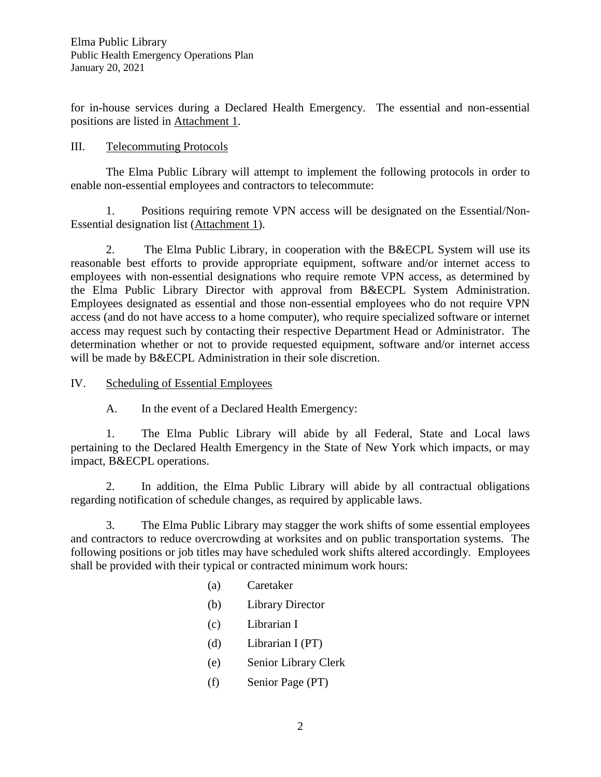for in-house services during a Declared Health Emergency. The essential and non-essential positions are listed in Attachment 1.

# III. Telecommuting Protocols

The Elma Public Library will attempt to implement the following protocols in order to enable non-essential employees and contractors to telecommute:

1. Positions requiring remote VPN access will be designated on the Essential/Non-Essential designation list (Attachment 1).

2. The Elma Public Library, in cooperation with the B&ECPL System will use its reasonable best efforts to provide appropriate equipment, software and/or internet access to employees with non-essential designations who require remote VPN access, as determined by the Elma Public Library Director with approval from B&ECPL System Administration. Employees designated as essential and those non-essential employees who do not require VPN access (and do not have access to a home computer), who require specialized software or internet access may request such by contacting their respective Department Head or Administrator. The determination whether or not to provide requested equipment, software and/or internet access will be made by B&ECPL Administration in their sole discretion.

# IV. Scheduling of Essential Employees

A. In the event of a Declared Health Emergency:

1. The Elma Public Library will abide by all Federal, State and Local laws pertaining to the Declared Health Emergency in the State of New York which impacts, or may impact, B&ECPL operations.

2. In addition, the Elma Public Library will abide by all contractual obligations regarding notification of schedule changes, as required by applicable laws.

3. The Elma Public Library may stagger the work shifts of some essential employees and contractors to reduce overcrowding at worksites and on public transportation systems. The following positions or job titles may have scheduled work shifts altered accordingly. Employees shall be provided with their typical or contracted minimum work hours:

- (a) Caretaker
- (b) Library Director
- (c) Librarian I
- (d) Librarian I (PT)
- (e) Senior Library Clerk
- (f) Senior Page (PT)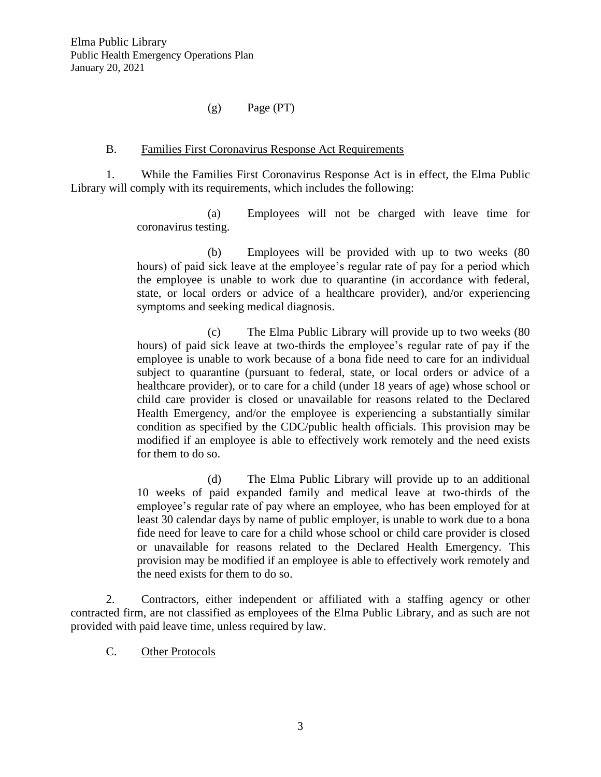# (g) Page (PT)

## B. Families First Coronavirus Response Act Requirements

1. While the Families First Coronavirus Response Act is in effect, the Elma Public Library will comply with its requirements, which includes the following:

> (a) Employees will not be charged with leave time for coronavirus testing.

> (b) Employees will be provided with up to two weeks (80 hours) of paid sick leave at the employee's regular rate of pay for a period which the employee is unable to work due to quarantine (in accordance with federal, state, or local orders or advice of a healthcare provider), and/or experiencing symptoms and seeking medical diagnosis.

> (c) The Elma Public Library will provide up to two weeks (80 hours) of paid sick leave at two-thirds the employee's regular rate of pay if the employee is unable to work because of a bona fide need to care for an individual subject to quarantine (pursuant to federal, state, or local orders or advice of a healthcare provider), or to care for a child (under 18 years of age) whose school or child care provider is closed or unavailable for reasons related to the Declared Health Emergency, and/or the employee is experiencing a substantially similar condition as specified by the CDC/public health officials. This provision may be modified if an employee is able to effectively work remotely and the need exists for them to do so.

> (d) The Elma Public Library will provide up to an additional 10 weeks of paid expanded family and medical leave at two-thirds of the employee's regular rate of pay where an employee, who has been employed for at least 30 calendar days by name of public employer, is unable to work due to a bona fide need for leave to care for a child whose school or child care provider is closed or unavailable for reasons related to the Declared Health Emergency. This provision may be modified if an employee is able to effectively work remotely and the need exists for them to do so.

2. Contractors, either independent or affiliated with a staffing agency or other contracted firm, are not classified as employees of the Elma Public Library, and as such are not provided with paid leave time, unless required by law.

C. Other Protocols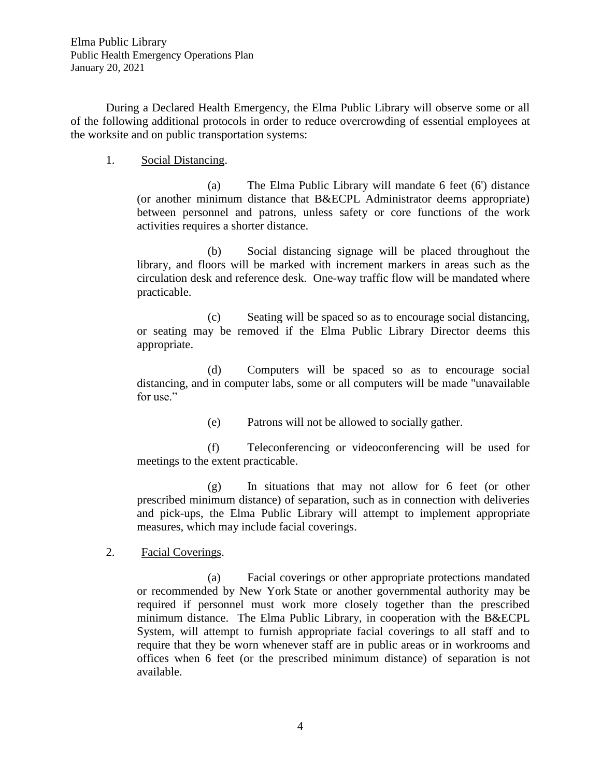During a Declared Health Emergency, the Elma Public Library will observe some or all of the following additional protocols in order to reduce overcrowding of essential employees at the worksite and on public transportation systems:

1. Social Distancing.

(a) The Elma Public Library will mandate 6 feet (6') distance (or another minimum distance that B&ECPL Administrator deems appropriate) between personnel and patrons, unless safety or core functions of the work activities requires a shorter distance.

(b) Social distancing signage will be placed throughout the library, and floors will be marked with increment markers in areas such as the circulation desk and reference desk. One-way traffic flow will be mandated where practicable.

(c) Seating will be spaced so as to encourage social distancing, or seating may be removed if the Elma Public Library Director deems this appropriate.

(d) Computers will be spaced so as to encourage social distancing, and in computer labs, some or all computers will be made "unavailable for use."

(e) Patrons will not be allowed to socially gather.

(f) Teleconferencing or videoconferencing will be used for meetings to the extent practicable.

(g) In situations that may not allow for 6 feet (or other prescribed minimum distance) of separation, such as in connection with deliveries and pick-ups, the Elma Public Library will attempt to implement appropriate measures, which may include facial coverings.

2. Facial Coverings.

(a) Facial coverings or other appropriate protections mandated or recommended by New York State or another governmental authority may be required if personnel must work more closely together than the prescribed minimum distance. The Elma Public Library, in cooperation with the B&ECPL System, will attempt to furnish appropriate facial coverings to all staff and to require that they be worn whenever staff are in public areas or in workrooms and offices when 6 feet (or the prescribed minimum distance) of separation is not available.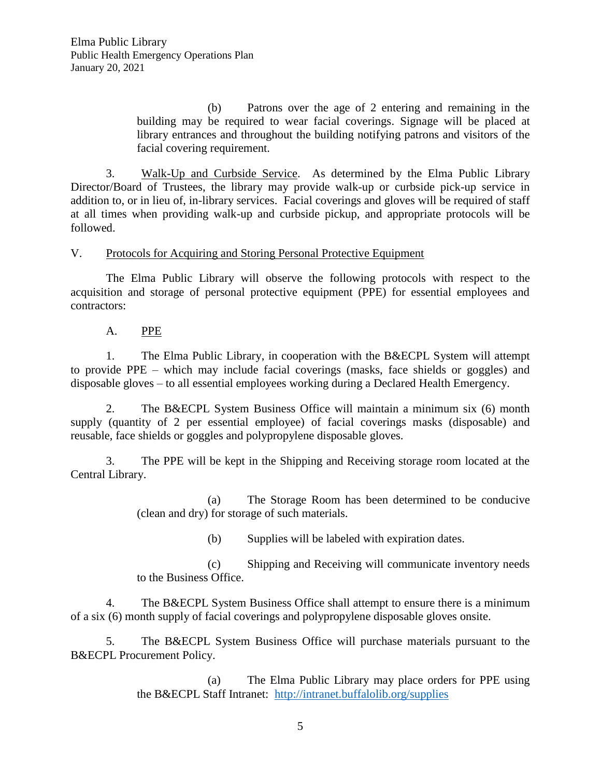(b) Patrons over the age of 2 entering and remaining in the building may be required to wear facial coverings. Signage will be placed at library entrances and throughout the building notifying patrons and visitors of the facial covering requirement.

3. Walk-Up and Curbside Service. As determined by the Elma Public Library Director/Board of Trustees, the library may provide walk-up or curbside pick-up service in addition to, or in lieu of, in-library services. Facial coverings and gloves will be required of staff at all times when providing walk-up and curbside pickup, and appropriate protocols will be followed.

V. Protocols for Acquiring and Storing Personal Protective Equipment

The Elma Public Library will observe the following protocols with respect to the acquisition and storage of personal protective equipment (PPE) for essential employees and contractors:

A. PPE

1. The Elma Public Library, in cooperation with the B&ECPL System will attempt to provide PPE – which may include facial coverings (masks, face shields or goggles) and disposable gloves – to all essential employees working during a Declared Health Emergency.

2. The B&ECPL System Business Office will maintain a minimum six (6) month supply (quantity of 2 per essential employee) of facial coverings masks (disposable) and reusable, face shields or goggles and polypropylene disposable gloves.

3. The PPE will be kept in the Shipping and Receiving storage room located at the Central Library.

> (a) The Storage Room has been determined to be conducive (clean and dry) for storage of such materials.

> > (b) Supplies will be labeled with expiration dates.

(c) Shipping and Receiving will communicate inventory needs to the Business Office.

4. The B&ECPL System Business Office shall attempt to ensure there is a minimum of a six (6) month supply of facial coverings and polypropylene disposable gloves onsite.

5. The B&ECPL System Business Office will purchase materials pursuant to the B&ECPL Procurement Policy.

> (a) The Elma Public Library may place orders for PPE using the B&ECPL Staff Intranet: <http://intranet.buffalolib.org/supplies>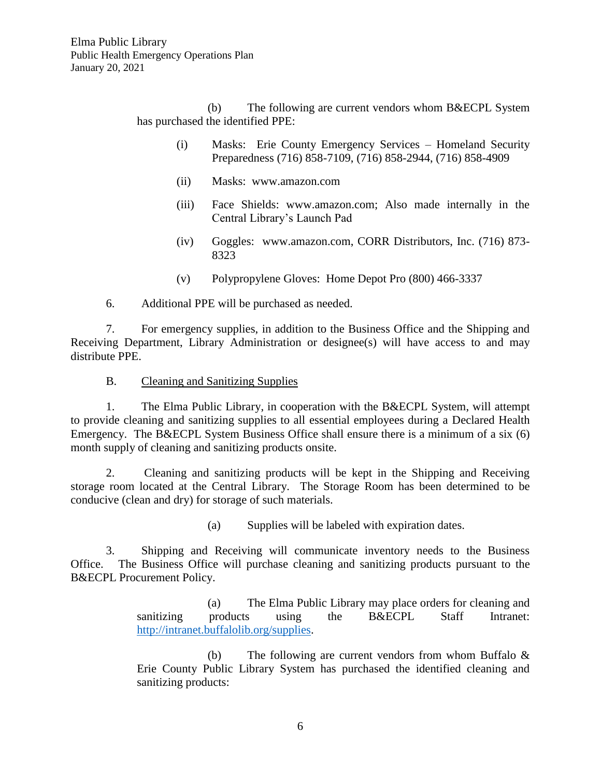(b) The following are current vendors whom B&ECPL System has purchased the identified PPE:

- (i) Masks: Erie County Emergency Services Homeland Security Preparedness (716) 858-7109, (716) 858-2944, (716) 858-4909
- (ii) Masks: www.amazon.com
- (iii) Face Shields: www.amazon.com; Also made internally in the Central Library's Launch Pad
- (iv) Goggles: www.amazon.com, CORR Distributors, Inc. (716) 873- 8323
- (v) Polypropylene Gloves: Home Depot Pro (800) 466-3337

6. Additional PPE will be purchased as needed.

7. For emergency supplies, in addition to the Business Office and the Shipping and Receiving Department, Library Administration or designee(s) will have access to and may distribute PPE.

B. Cleaning and Sanitizing Supplies

1. The Elma Public Library, in cooperation with the B&ECPL System, will attempt to provide cleaning and sanitizing supplies to all essential employees during a Declared Health Emergency. The B&ECPL System Business Office shall ensure there is a minimum of a six (6) month supply of cleaning and sanitizing products onsite.

2. Cleaning and sanitizing products will be kept in the Shipping and Receiving storage room located at the Central Library. The Storage Room has been determined to be conducive (clean and dry) for storage of such materials.

(a) Supplies will be labeled with expiration dates.

3. Shipping and Receiving will communicate inventory needs to the Business Office. The Business Office will purchase cleaning and sanitizing products pursuant to the B&ECPL Procurement Policy.

> (a) The Elma Public Library may place orders for cleaning and sanitizing products using the B&ECPL Staff Intranet: [http://intranet.buffalolib.org/supplies.](http://intranet.buffalolib.org/supplies)

> (b) The following are current vendors from whom Buffalo & Erie County Public Library System has purchased the identified cleaning and sanitizing products: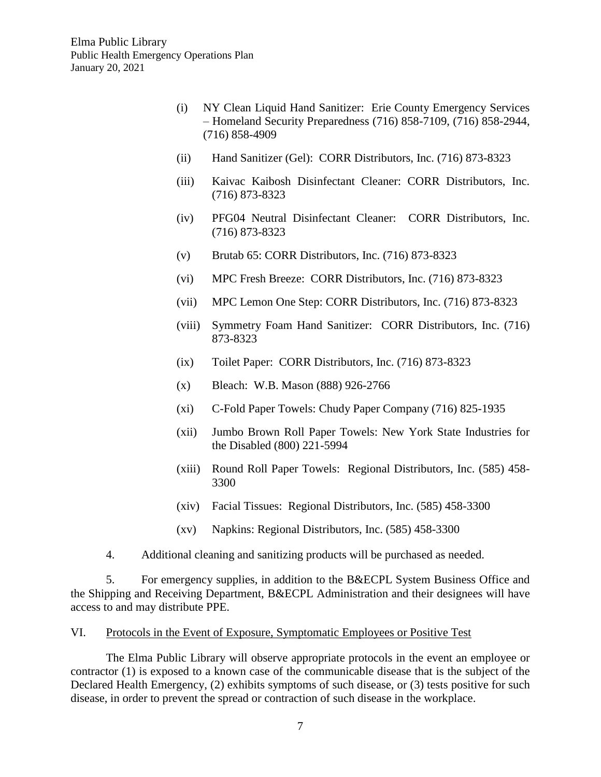- (i) NY Clean Liquid Hand Sanitizer: Erie County Emergency Services – Homeland Security Preparedness (716) 858-7109, (716) 858-2944, (716) 858-4909
- (ii) Hand Sanitizer (Gel): CORR Distributors, Inc. (716) 873-8323
- (iii) Kaivac Kaibosh Disinfectant Cleaner: CORR Distributors, Inc. (716) 873-8323
- (iv) PFG04 Neutral Disinfectant Cleaner: CORR Distributors, Inc. (716) 873-8323
- (v) Brutab 65: CORR Distributors, Inc. (716) 873-8323
- (vi) MPC Fresh Breeze: CORR Distributors, Inc. (716) 873-8323
- (vii) MPC Lemon One Step: CORR Distributors, Inc. (716) 873-8323
- (viii) Symmetry Foam Hand Sanitizer: CORR Distributors, Inc. (716) 873-8323
- (ix) Toilet Paper: CORR Distributors, Inc. (716) 873-8323
- (x) Bleach: W.B. Mason (888) 926-2766
- (xi) C-Fold Paper Towels: Chudy Paper Company (716) 825-1935
- (xii) Jumbo Brown Roll Paper Towels: New York State Industries for the Disabled (800) 221-5994
- (xiii) Round Roll Paper Towels: Regional Distributors, Inc. (585) 458- 3300
- (xiv) Facial Tissues: Regional Distributors, Inc. (585) 458-3300
- (xv) Napkins: Regional Distributors, Inc. (585) 458-3300
- 4. Additional cleaning and sanitizing products will be purchased as needed.

5. For emergency supplies, in addition to the B&ECPL System Business Office and the Shipping and Receiving Department, B&ECPL Administration and their designees will have access to and may distribute PPE.

#### VI. Protocols in the Event of Exposure, Symptomatic Employees or Positive Test

The Elma Public Library will observe appropriate protocols in the event an employee or contractor (1) is exposed to a known case of the communicable disease that is the subject of the Declared Health Emergency, (2) exhibits symptoms of such disease, or (3) tests positive for such disease, in order to prevent the spread or contraction of such disease in the workplace.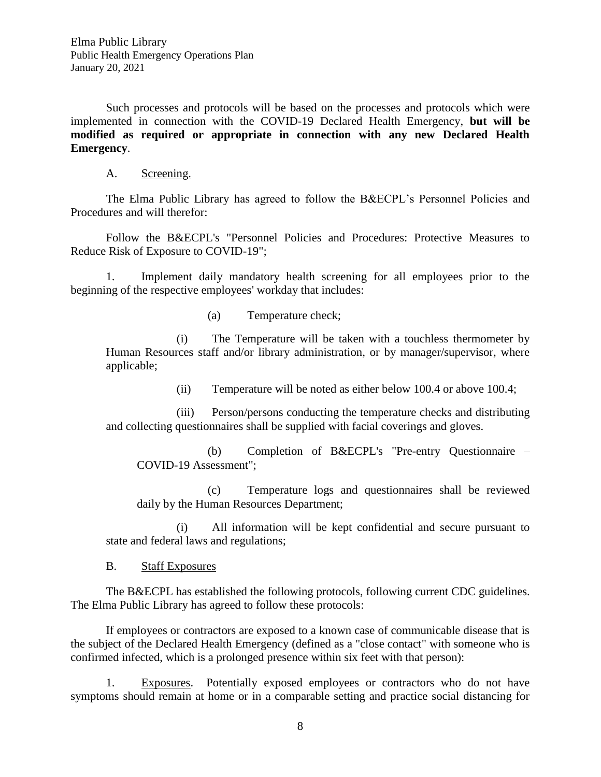Such processes and protocols will be based on the processes and protocols which were implemented in connection with the COVID-19 Declared Health Emergency, **but will be modified as required or appropriate in connection with any new Declared Health Emergency**.

A. Screening.

The Elma Public Library has agreed to follow the B&ECPL's Personnel Policies and Procedures and will therefor:

Follow the B&ECPL's "Personnel Policies and Procedures: Protective Measures to Reduce Risk of Exposure to COVID-19";

1. Implement daily mandatory health screening for all employees prior to the beginning of the respective employees' workday that includes:

(a) Temperature check;

(i) The Temperature will be taken with a touchless thermometer by Human Resources staff and/or library administration, or by manager/supervisor, where applicable;

(ii) Temperature will be noted as either below 100.4 or above 100.4;

(iii) Person/persons conducting the temperature checks and distributing and collecting questionnaires shall be supplied with facial coverings and gloves.

(b) Completion of B&ECPL's "Pre-entry Questionnaire – COVID-19 Assessment";

(c) Temperature logs and questionnaires shall be reviewed daily by the Human Resources Department;

(i) All information will be kept confidential and secure pursuant to state and federal laws and regulations;

B. Staff Exposures

The B&ECPL has established the following protocols, following current CDC guidelines. The Elma Public Library has agreed to follow these protocols:

If employees or contractors are exposed to a known case of communicable disease that is the subject of the Declared Health Emergency (defined as a "close contact" with someone who is confirmed infected, which is a prolonged presence within six feet with that person):

1. Exposures. Potentially exposed employees or contractors who do not have symptoms should remain at home or in a comparable setting and practice social distancing for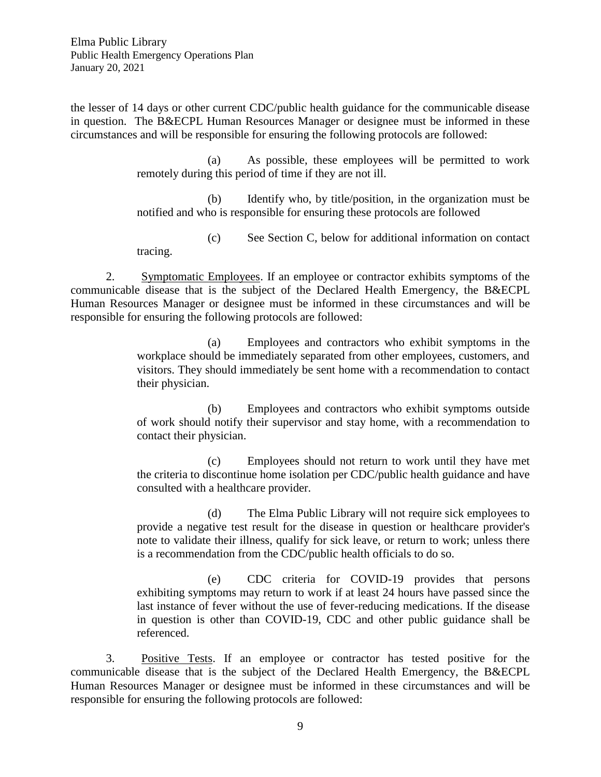Elma Public Library Public Health Emergency Operations Plan January 20, 2021

the lesser of 14 days or other current CDC/public health guidance for the communicable disease in question. The B&ECPL Human Resources Manager or designee must be informed in these circumstances and will be responsible for ensuring the following protocols are followed:

> (a) As possible, these employees will be permitted to work remotely during this period of time if they are not ill.

> (b) Identify who, by title/position, in the organization must be notified and who is responsible for ensuring these protocols are followed

> (c) See Section C, below for additional information on contact tracing.

2. Symptomatic Employees. If an employee or contractor exhibits symptoms of the communicable disease that is the subject of the Declared Health Emergency, the B&ECPL Human Resources Manager or designee must be informed in these circumstances and will be responsible for ensuring the following protocols are followed:

> (a) Employees and contractors who exhibit symptoms in the workplace should be immediately separated from other employees, customers, and visitors. They should immediately be sent home with a recommendation to contact their physician.

> (b) Employees and contractors who exhibit symptoms outside of work should notify their supervisor and stay home, with a recommendation to contact their physician.

> (c) Employees should not return to work until they have met the criteria to discontinue home isolation per CDC/public health guidance and have consulted with a healthcare provider.

> (d) The Elma Public Library will not require sick employees to provide a negative test result for the disease in question or healthcare provider's note to validate their illness, qualify for sick leave, or return to work; unless there is a recommendation from the CDC/public health officials to do so.

> (e) CDC criteria for COVID-19 provides that persons exhibiting symptoms may return to work if at least 24 hours have passed since the last instance of fever without the use of fever-reducing medications. If the disease in question is other than COVID-19, CDC and other public guidance shall be referenced.

3. Positive Tests. If an employee or contractor has tested positive for the communicable disease that is the subject of the Declared Health Emergency, the B&ECPL Human Resources Manager or designee must be informed in these circumstances and will be responsible for ensuring the following protocols are followed: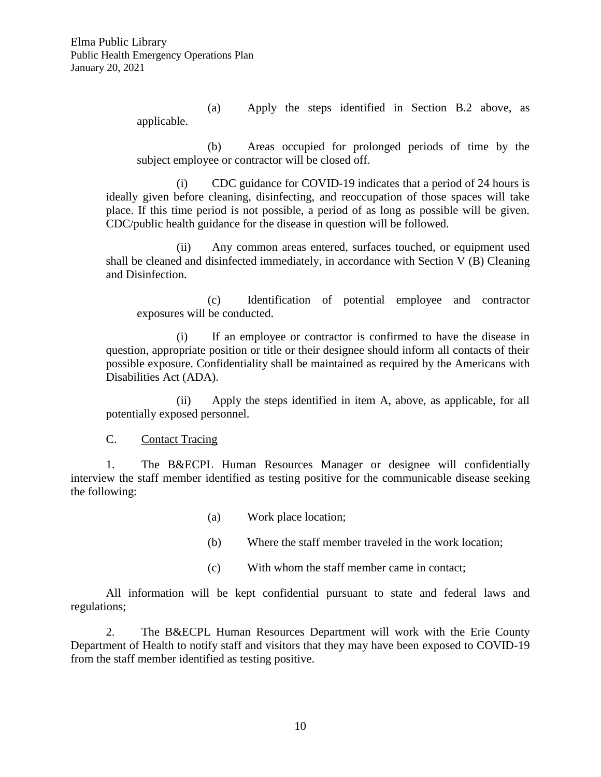(a) Apply the steps identified in Section B.2 above, as applicable.

(b) Areas occupied for prolonged periods of time by the subject employee or contractor will be closed off.

(i) CDC guidance for COVID-19 indicates that a period of 24 hours is ideally given before cleaning, disinfecting, and reoccupation of those spaces will take place. If this time period is not possible, a period of as long as possible will be given. CDC/public health guidance for the disease in question will be followed.

(ii) Any common areas entered, surfaces touched, or equipment used shall be cleaned and disinfected immediately, in accordance with Section V (B) Cleaning and Disinfection.

(c) Identification of potential employee and contractor exposures will be conducted.

(i) If an employee or contractor is confirmed to have the disease in question, appropriate position or title or their designee should inform all contacts of their possible exposure. Confidentiality shall be maintained as required by the Americans with Disabilities Act (ADA).

(ii) Apply the steps identified in item A, above, as applicable, for all potentially exposed personnel.

C. Contact Tracing

1. The B&ECPL Human Resources Manager or designee will confidentially interview the staff member identified as testing positive for the communicable disease seeking the following:

- (a) Work place location;
- (b) Where the staff member traveled in the work location;
- (c) With whom the staff member came in contact;

All information will be kept confidential pursuant to state and federal laws and regulations;

2. The B&ECPL Human Resources Department will work with the Erie County Department of Health to notify staff and visitors that they may have been exposed to COVID-19 from the staff member identified as testing positive.